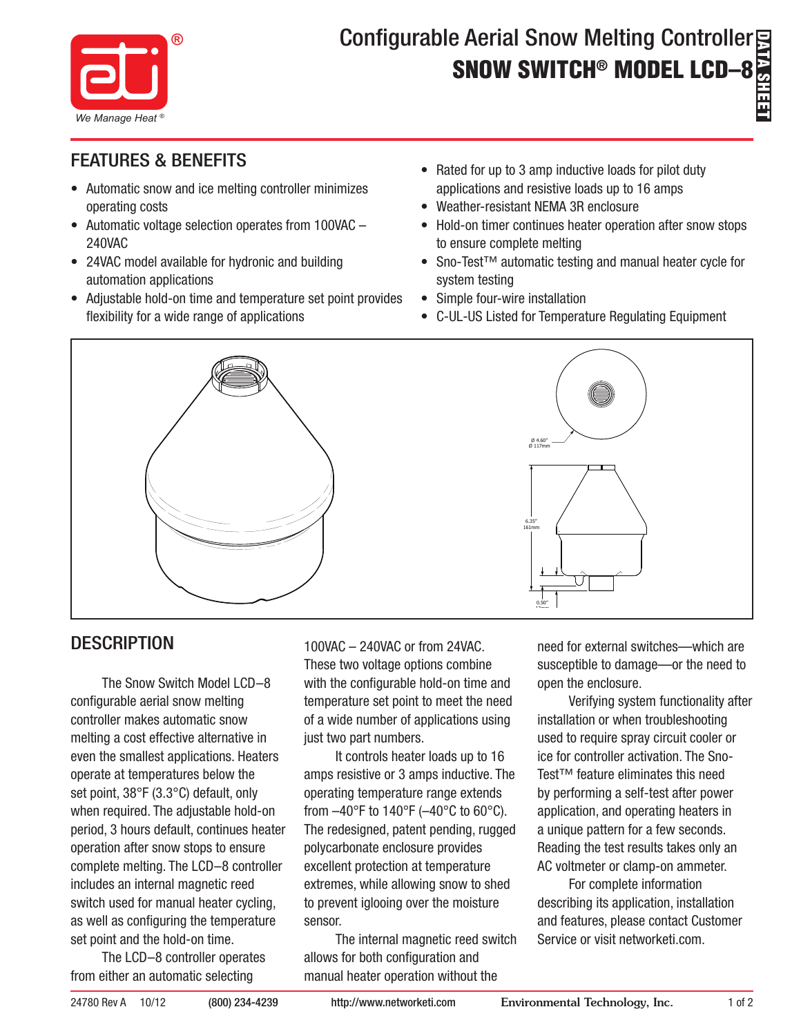

# DATA SHEET Configurable Aerial Snow Melting Controller SNOW SWITCH® MODEL LCD–8

- Automatic snow and ice melting controller minimizes operating costs
- Automatic voltage selection operates from 100VAC -240VAC
- 24VAC model available for hydronic and building automation applications
- Adjustable hold-on time and temperature set point provides flexibility for a wide range of applications
- Rated for up to 3 amp inductive loads for pilot duty applications and resistive loads up to 16 amps
- • Weather-resistant NEMA 3R enclosure
- Hold-on timer continues heater operation after snow stops to ensure complete melting
- Sno-Test™ automatic testing and manual heater cycle for system testing
- Simple four-wire installation
- • C-UL-US Listed for Temperature Regulating Equipment



## **DESCRIPTION**

The Snow Switch Model LCD–8 configurable aerial snow melting controller makes automatic snow melting a cost effective alternative in even the smallest applications. Heaters operate at temperatures below the set point, 38°F (3.3°C) default, only when required. The adjustable hold-on period, 3 hours default, continues heater operation after snow stops to ensure complete melting. The LCD–8 controller includes an internal magnetic reed switch used for manual heater cycling, as well as configuring the temperature set point and the hold-on time.

The LCD–8 controller operates from either an automatic selecting

100VAC – 240VAC or from 24VAC. These two voltage options combine with the configurable hold-on time and temperature set point to meet the need of a wide number of applications using just two part numbers.

It controls heater loads up to 16 amps resistive or 3 amps inductive. The operating temperature range extends from  $-40^{\circ}$ F to 140°F ( $-40^{\circ}$ C to 60°C). The redesigned, patent pending, rugged polycarbonate enclosure provides excellent protection at temperature extremes, while allowing snow to shed to prevent iglooing over the moisture sensor.

The internal magnetic reed switch allows for both configuration and manual heater operation without the

need for external switches—which are susceptible to damage—or the need to open the enclosure.

Verifying system functionality after installation or when troubleshooting used to require spray circuit cooler or ice for controller activation. The Sno-Test™ feature eliminates this need by performing a self-test after power application, and operating heaters in a unique pattern for a few seconds. Reading the test results takes only an AC voltmeter or clamp-on ammeter.

For complete information describing its application, installation and features, please contact Customer Service or visit networketi.com.